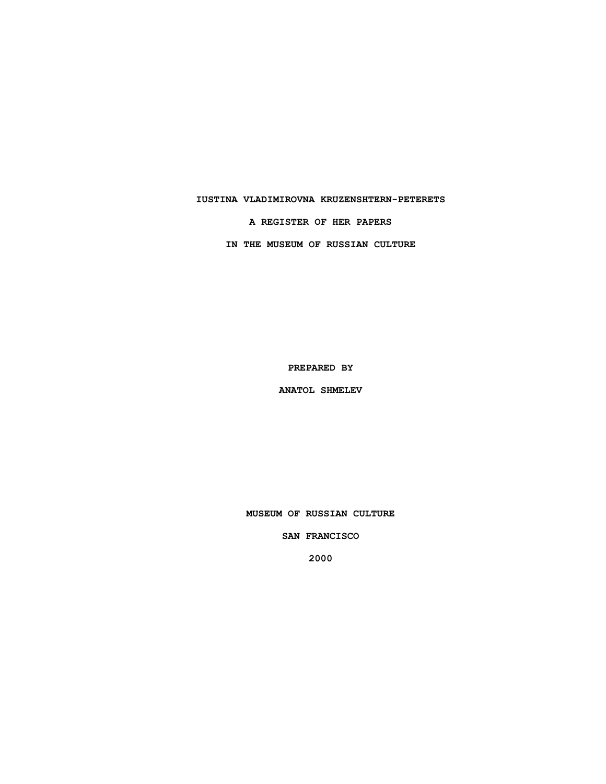### **IUSTINA VLADIMIROVNA KRUZENSHTERN-PETERETS**

#### **A REGISTER OF HER PAPERS**

**IN THE MUSEUM OF RUSSIAN CULTURE**

**PREPARED BY**

**ANATOL SHMELEV**

**MUSEUM OF RUSSIAN CULTURE**

**SAN FRANCISCO**

**2000**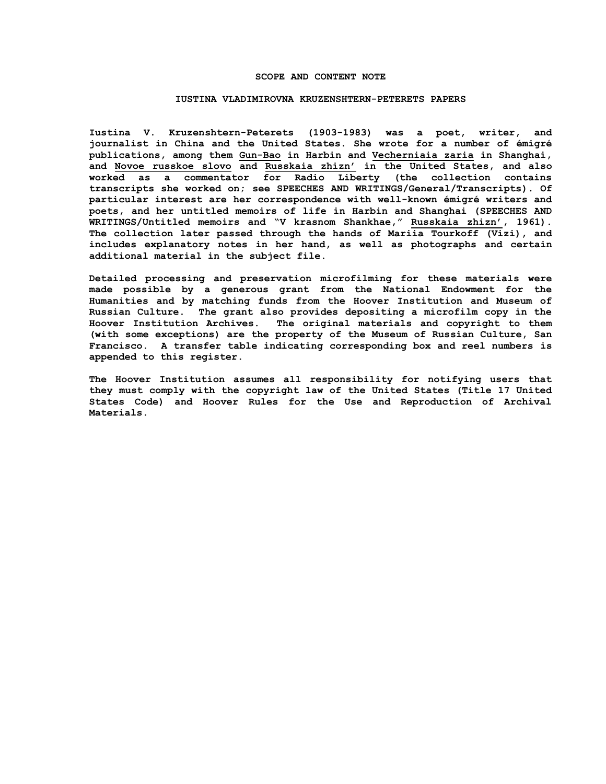#### **SCOPE AND CONTENT NOTE**

#### **IUSTINA VLADIMIROVNA KRUZENSHTERN-PETERETS PAPERS**

**Iustina V. Kruzenshtern-Peterets (1903-1983) was a poet, writer, and journalist in China and the United States. She wrote for a number of émigré publications, among them Gun-Bao in Harbin and Vecherniaia zaria in Shanghai, and Novoe russkoe slovo and Russkaia zhizn' in the United States, and also worked as a commentator for Radio Liberty (the collection contains transcripts she worked on; see SPEECHES AND WRITINGS/General/Transcripts). Of particular interest are her correspondence with well-known émigré writers and poets, and her untitled memoirs of life in Harbin and Shanghai (SPEECHES AND WRITINGS/Untitled memoirs and "V krasnom Shankhae," Russkaia zhizn', 1961). The collection later passed through the hands of Mariia Tourkoff (Vizi), and includes explanatory notes in her hand, as well as photographs and certain additional material in the subject file.**

**Detailed processing and preservation microfilming for these materials were made possible by a generous grant from the National Endowment for the Humanities and by matching funds from the Hoover Institution and Museum of Russian Culture. The grant also provides depositing a microfilm copy in the Hoover Institution Archives. The original materials and copyright to them (with some exceptions) are the property of the Museum of Russian Culture, San Francisco. A transfer table indicating corresponding box and reel numbers is appended to this register.**

**The Hoover Institution assumes all responsibility for notifying users that they must comply with the copyright law of the United States (Title 17 United States Code) and Hoover Rules for the Use and Reproduction of Archival Materials.**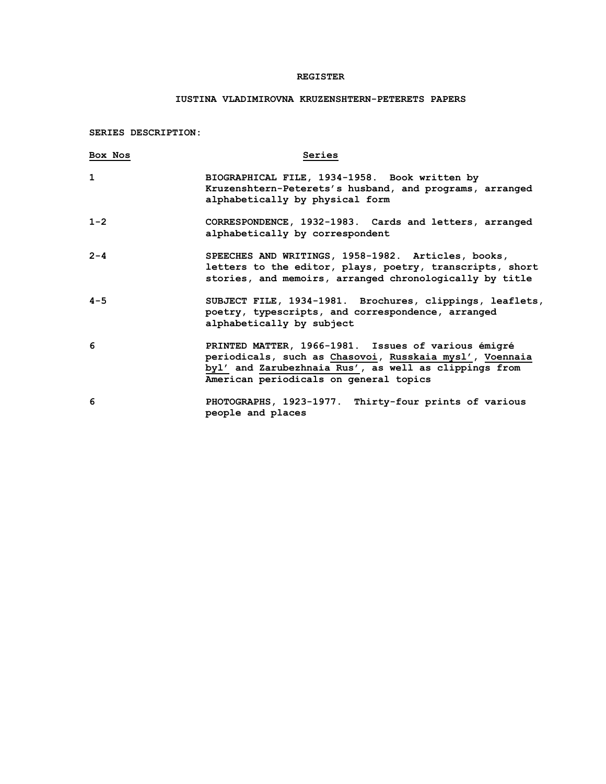## **REGISTER**

# **IUSTINA VLADIMIROVNA KRUZENSHTERN-PETERETS PAPERS**

**SERIES DESCRIPTION:**

| Box Nos      | Series                                                                                                                                                                                                            |
|--------------|-------------------------------------------------------------------------------------------------------------------------------------------------------------------------------------------------------------------|
| $\mathbf{1}$ | BIOGRAPHICAL FILE, 1934-1958. Book written by<br>Kruzenshtern-Peterets's husband, and programs, arranged<br>alphabetically by physical form                                                                       |
| $1 - 2$      | CORRESPONDENCE, 1932-1983. Cards and letters, arranged<br>alphabetically by correspondent                                                                                                                         |
| $2 - 4$      | SPEECHES AND WRITINGS, 1958-1982. Articles, books,<br>letters to the editor, plays, poetry, transcripts, short<br>stories, and memoirs, arranged chronologically by title                                         |
| $4 - 5$      | SUBJECT FILE, 1934-1981. Brochures, clippings, leaflets,<br>poetry, typescripts, and correspondence, arranged<br>alphabetically by subject                                                                        |
| 6            | PRINTED MATTER, 1966-1981. Issues of various émigré<br>periodicals, such as Chasovoi, Russkaia mysl', Voennaia<br>byl' and Zarubezhnaia Rus', as well as clippings from<br>American periodicals on general topics |
| 6            | PHOTOGRAPHS, 1923-1977. Thirty-four prints of various<br>people and places                                                                                                                                        |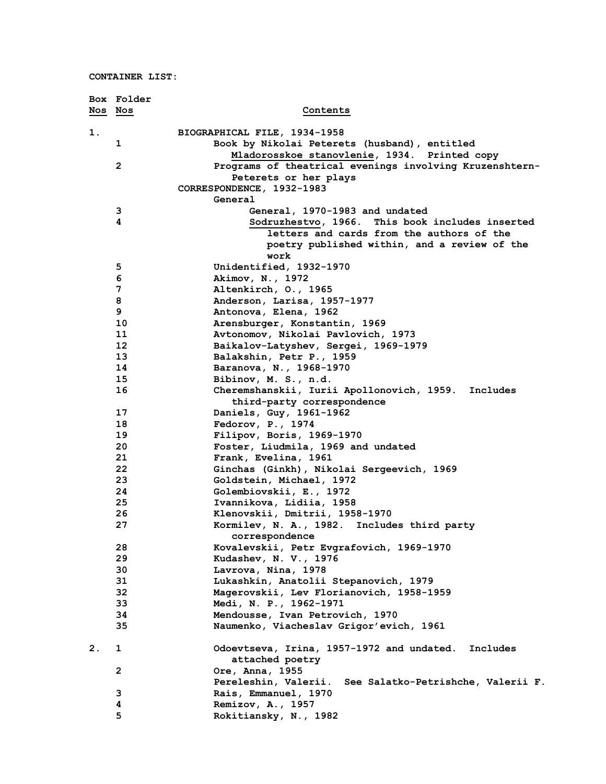|         | Box Folder   |                                                                     |
|---------|--------------|---------------------------------------------------------------------|
| Nos Nos |              | Contents                                                            |
| 1.      |              | BIOGRAPHICAL FILE, 1934-1958                                        |
|         | 1            | Book by Nikolai Peterets (husband), entitled                        |
|         |              | Mladorosskoe stanovlenie, 1934. Printed copy                        |
|         | $\mathbf{2}$ | Programs of theatrical evenings involving Kruzenshtern-             |
|         |              | Peterets or her plays                                               |
|         |              | CORRESPONDENCE, 1932-1983                                           |
|         |              | General                                                             |
|         | 3            | General, 1970-1983 and undated                                      |
|         | 4            | Sodruzhestvo, 1966. This book includes inserted                     |
|         |              | letters and cards from the authors of the                           |
|         |              | poetry published within, and a review of the                        |
|         |              | work                                                                |
|         | 5            | Unidentified, 1932-1970                                             |
|         | 6            | Akimov, N., 1972                                                    |
|         | 7            | Altenkirch, O., 1965                                                |
|         | 8            | Anderson, Larisa, 1957-1977                                         |
|         | 9            | Antonova, Elena, 1962                                               |
|         | 10<br>11     | Arensburger, Konstantin, 1969<br>Avtonomov, Nikolai Pavlovich, 1973 |
|         | 12           | Baikalov-Latyshev, Sergei, 1969-1979                                |
|         | 13           | Balakshin, Petr P., 1959                                            |
|         | 14           | Baranova, N., 1968-1970                                             |
|         | 15           | Bibinov, M. S., n.d.                                                |
|         | 16           | Cheremshanskii, Iurii Apollonovich, 1959. Includes                  |
|         |              | third-party correspondence                                          |
|         | 17           | Daniels, Guy, 1961-1962                                             |
|         | 18           | Fedorov, P., 1974                                                   |
|         | 19           | Filipov, Boris, 1969-1970                                           |
|         | 20           | Foster, Liudmila, 1969 and undated                                  |
|         | 21           | Frank, Evelina, 1961                                                |
|         | 22           | Ginchas (Ginkh), Nikolai Sergeevich, 1969                           |
|         | 23           | Goldstein, Michael, 1972                                            |
|         | 24           | Golembiovskii, E., 1972                                             |
|         | 25.          | Ivannikova, Lidiia, 1958                                            |
|         | 26           | Klenovskii, Dmitrii, 1958-1970                                      |
|         | 27           | Kormilev, N. A., 1982. Includes third party                         |
|         |              | correspondence                                                      |
|         | 28           | Kovalevskii, Petr Evgrafovich, 1969-1970                            |
|         | 29           | Kudashev, N. V., 1976                                               |
|         | 30           | Lavrova, Nina, 1978                                                 |
|         | 31<br>32     | Lukashkin, Anatolii Stepanovich, 1979                               |
|         | 33           | Magerovskii, Lev Florianovich, 1958-1959<br>Medi, N. P., 1962-1971  |
|         | 34           | Mendousse, Ivan Petrovich, 1970                                     |
|         | 35           | Naumenko, Viacheslav Grigor'evich, 1961                             |
|         |              |                                                                     |
| 2.      | 1            | Odoevtseva, Irina, 1957-1972 and undated. Includes                  |
|         |              | attached poetry                                                     |
|         | $\mathbf{2}$ | Ore, Anna, 1955                                                     |
|         |              | Pereleshin, Valerii.<br>See Salatko-Petrishche, Valerii F.          |
|         | 3            | Rais, Emmanuel, 1970                                                |
|         | 4            | Remizov, A., 1957                                                   |
|         | 5            | Rokitiansky, N., 1982                                               |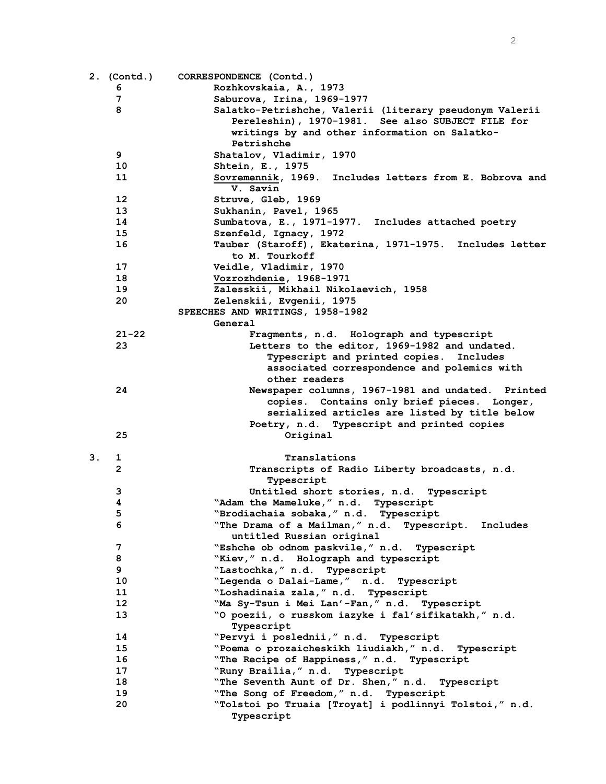|    | 2. (Contd.) | CORRESPONDENCE (Contd.)                                 |
|----|-------------|---------------------------------------------------------|
|    | 6           | Rozhkovskaia, A., 1973                                  |
|    | 7           | Saburova, Irina, 1969-1977                              |
|    | 8           | Salatko-Petrishche, Valerii (literary pseudonym Valerii |
|    |             | Pereleshin), 1970-1981. See also SUBJECT FILE for       |
|    |             | writings by and other information on Salatko-           |
|    |             | Petrishche                                              |
|    | 9           | Shatalov, Vladimir, 1970                                |
|    | 10          | Shtein, E., 1975                                        |
|    | 11          | Sovremennik, 1969. Includes letters from E. Bobrova and |
|    |             | V. Savin                                                |
|    | 12          | Struve, Gleb, 1969                                      |
|    | 13          | Sukhanin, Pavel, 1965                                   |
|    | 14          | Sumbatova, E., 1971-1977. Includes attached poetry      |
|    | 15          | Szenfeld, Ignacy, 1972                                  |
|    | 16          | Tauber (Staroff), Ekaterina, 1971-1975. Includes letter |
|    |             | to M. Tourkoff                                          |
|    | 17          | Veidle, Vladimir, 1970                                  |
|    | 18          | Vozrozhdenie, 1968-1971                                 |
|    | 19          | Zalesskii, Mikhail Nikolaevich, 1958                    |
|    | 20          | Zelenskii, Evgenii, 1975                                |
|    |             | SPEECHES AND WRITINGS, 1958-1982                        |
|    |             | General                                                 |
|    | $21 - 22$   | Fragments, n.d. Holograph and typescript                |
|    | 23          | Letters to the editor, 1969-1982 and undated.           |
|    |             | Typescript and printed copies. Includes                 |
|    |             | associated correspondence and polemics with             |
|    |             | other readers                                           |
|    | 24          | Newspaper columns, 1967-1981 and undated. Printed       |
|    |             | copies. Contains only brief pieces. Longer,             |
|    |             | serialized articles are listed by title below           |
|    |             | Poetry, n.d. Typescript and printed copies              |
|    | 25          | Original                                                |
|    |             |                                                         |
| 3. | 1           | Translations                                            |
|    | 2           | Transcripts of Radio Liberty broadcasts, n.d.           |
|    |             | Typescript                                              |
|    | з           | Untitled short stories, n.d. Typescript                 |
|    | 4           | "Adam the Mameluke," n.d. Typescript                    |
|    | 5           | "Brodiachaia sobaka, " n.d. Typescript                  |
|    | 6           | "The Drama of a Mailman," n.d. Typescript.<br>Includes  |
|    |             | untitled Russian original                               |
|    | 7           | "Eshche ob odnom paskvile," n.d. Typescript             |
|    | 8           | "Kiev," n.d. Holograph and typescript                   |
|    | 9           | "Lastochka, " n.d. Typescript                           |
|    | 10          | "Legenda o Dalai-Lame," n.d. Typescript                 |
|    | 11          | "Loshadinaia zala," n.d. Typescript                     |
|    | $12 \,$     | "Ma Sy-Tsun i Mei Lan'-Fan," n.d. Typescript            |
|    | 13          | "O poezii, o russkom iazyke i fal'sifikatakh," n.d.     |
|    |             | Typescript                                              |
|    | 14          | "Pervyi i poslednii," n.d. Typescript                   |
|    | 15          | "Poema o prozaicheskikh liudiakh," n.d. Typescript      |
|    | 16          | "The Recipe of Happiness," n.d. Typescript              |
|    | 17          | "Runy Brailia," n.d. Typescript                         |
|    | 18          | "The Seventh Aunt of Dr. Shen," n.d. Typescript         |
|    | 19          | "The Song of Freedom," n.d. Typescript                  |
|    | 20          | "Tolstoi po Truaia [Troyat] i podlinnyi Tolstoi," n.d.  |
|    |             | Typescript                                              |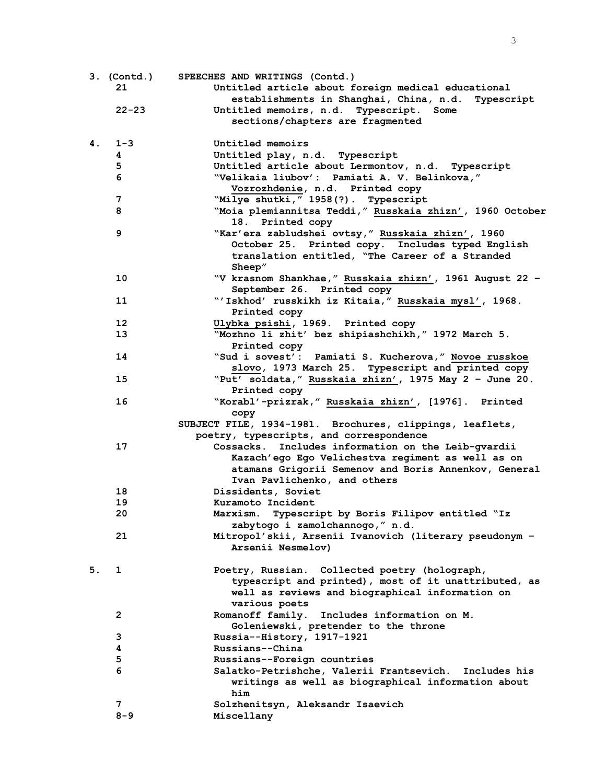|    | $3.$ (Contd.)   | SPEECHES AND WRITINGS (Contd.)                                                                            |
|----|-----------------|-----------------------------------------------------------------------------------------------------------|
|    | 21              | Untitled article about foreign medical educational                                                        |
|    |                 | establishments in Shanghai, China, n.d. Typescript                                                        |
|    | $22 - 23$       | Untitled memoirs, n.d. Typescript.<br>Some                                                                |
|    |                 | sections/chapters are fragmented                                                                          |
| 4. | $1 - 3$         | Untitled memoirs                                                                                          |
|    | 4               | Untitled play, n.d. Typescript                                                                            |
|    | 5               | Untitled article about Lermontov, n.d. Typescript                                                         |
|    | 6               | "Velikaia liubov': Pamiati A. V. Belinkova,"                                                              |
|    |                 | Vozrozhdenie, n.d. Printed copy                                                                           |
|    | 7               | "Milye shutki, " 1958(?). Typescript                                                                      |
|    | 8               | "Moia plemiannitsa Teddi," Russkaia zhizn', 1960 October<br>18. Printed copy                              |
|    | 9               | "Kar'era zabludshei ovtsy," Russkaia zhizn', 1960                                                         |
|    |                 | October 25. Printed copy. Includes typed English                                                          |
|    |                 | translation entitled, "The Career of a Stranded<br>Sheep"                                                 |
|    | 10              | "V krasnom Shankhae," Russkaia zhizn', 1961 August 22 -                                                   |
|    |                 | September 26. Printed copy                                                                                |
|    | 11              | "'Iskhod' russkikh iz Kitaia," Russkaia mysl', 1968.                                                      |
|    |                 | Printed copy                                                                                              |
|    | 12 <sup>2</sup> | Ulybka psishi, 1969. Printed copy                                                                         |
|    | 13              | "Mozhno li zhit' bez shipiashchikh," 1972 March 5.                                                        |
|    | 14              | Printed copy                                                                                              |
|    |                 | "Sud i sovest': Pamiati S. Kucherova," Novoe russkoe<br>slovo, 1973 March 25. Typescript and printed copy |
|    | 15              | "Put' soldata," Russkaia zhizn', 1975 May 2 - June 20.                                                    |
|    |                 | Printed copy                                                                                              |
|    | 16              | "Korabl'-prizrak," Russkaia zhizn', [1976]. Printed                                                       |
|    |                 | copy                                                                                                      |
|    |                 | SUBJECT FILE, 1934-1981. Brochures, clippings, leaflets,                                                  |
|    |                 | poetry, typescripts, and correspondence                                                                   |
|    | 17              | Includes information on the Leib-gvardii<br>Cossacks.                                                     |
|    |                 | Kazach'ego Ego Velichestva regiment as well as on                                                         |
|    |                 | atamans Grigorii Semenov and Boris Annenkov, General                                                      |
|    |                 | Ivan Pavlichenko, and others                                                                              |
|    | 18              | Dissidents, Soviet                                                                                        |
|    | 19              | Kuramoto Incident                                                                                         |
|    | 20              | Marxism. Typescript by Boris Filipov entitled "Iz                                                         |
|    | 21              | zabytogo i zamolchannogo," n.d.<br>Mitropol'skii, Arsenii Ivanovich (literary pseudonym -                 |
|    |                 | Arsenii Nesmelov)                                                                                         |
| 5. | 1               | Poetry, Russian. Collected poetry (holograph,                                                             |
|    |                 | typescript and printed), most of it unattributed, as                                                      |
|    |                 | well as reviews and biographical information on                                                           |
|    |                 | various poets                                                                                             |
|    | 2               | Romanoff family.<br>Includes information on M.                                                            |
|    |                 | Goleniewski, pretender to the throne                                                                      |
|    | з               | Russia--History, 1917-1921                                                                                |
|    | 4               | Russians--China                                                                                           |
|    | 5               | Russians--Foreign countries                                                                               |
|    | 6               | Salatko-Petrishche, Valerii Frantsevich. Includes his                                                     |
|    |                 | writings as well as biographical information about                                                        |
|    |                 | him                                                                                                       |
|    | 7               | Solzhenitsyn, Aleksandr Isaevich                                                                          |
|    | $8 - 9$         | Miscellany                                                                                                |